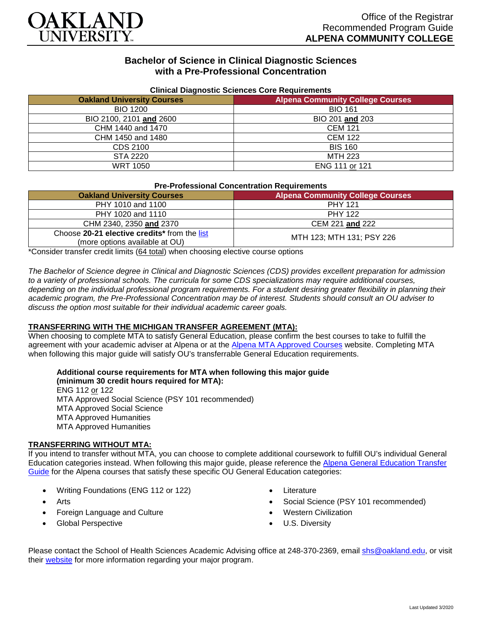

# **Bachelor of Science in Clinical Diagnostic Sciences with a Pre-Professional Concentration**

| Cilincal Diagnostic Sciences Core Requirements |                                         |  |  |  |  |  |
|------------------------------------------------|-----------------------------------------|--|--|--|--|--|
| <b>Oakland University Courses</b>              | <b>Alpena Community College Courses</b> |  |  |  |  |  |
| <b>BIO 1200</b>                                | <b>BIO 161</b>                          |  |  |  |  |  |
| BIO 2100, 2101 and 2600                        | BIO 201 and 203                         |  |  |  |  |  |
| CHM 1440 and 1470                              | <b>CEM 121</b>                          |  |  |  |  |  |
| CHM 1450 and 1480                              | <b>CEM 122</b>                          |  |  |  |  |  |
| CDS 2100                                       | <b>BIS 160</b>                          |  |  |  |  |  |
| STA 2220                                       | <b>MTH 223</b>                          |  |  |  |  |  |
| WRT 1050                                       | ENG 111 or 121                          |  |  |  |  |  |

### **Clinical Diagnostic Sciences Core Requirements**

| <b>Pre-Professional Concentration Requirements</b> |  |  |  |
|----------------------------------------------------|--|--|--|
|                                                    |  |  |  |

| <b>Oakland University Courses</b>                                              | <b>Alpena Community College Courses</b> |
|--------------------------------------------------------------------------------|-----------------------------------------|
| PHY 1010 and 1100                                                              | <b>PHY 121</b>                          |
| PHY 1020 and 1110                                                              | <b>PHY 122</b>                          |
| CHM 2340, 2350 and 2370                                                        | CEM 221 and 222                         |
| Choose 20-21 elective credits* from the list<br>(more options available at OU) | MTH 123; MTH 131; PSY 226               |

\*Consider transfer credit limits (64 total) when choosing elective course options

*The Bachelor of Science degree in Clinical and Diagnostic Sciences (CDS) provides excellent preparation for admission to a variety of professional schools. The curricula for some CDS specializations may require additional courses, depending on the individual professional program requirements. For a student desiring greater flexibility in planning their academic program, the Pre-Professional Concentration may be of interest. Students should consult an OU adviser to discuss the option most suitable for their individual academic career goals.*

### **TRANSFERRING WITH THE MICHIGAN TRANSFER AGREEMENT (MTA):**

When choosing to complete MTA to satisfy General Education, please confirm the best courses to take to fulfill the agreement with your academic adviser at Alpena or at the [Alpena MTA Approved Courses](https://discover.alpenacc.edu/admissions/current_students/MTA.php) website. Completing MTA when following this major guide will satisfy OU's transferrable General Education requirements.

**Additional course requirements for MTA when following this major guide (minimum 30 credit hours required for MTA):**

ENG 112 or 122 MTA Approved Social Science (PSY 101 recommended) MTA Approved Social Science MTA Approved Humanities MTA Approved Humanities

#### **TRANSFERRING WITHOUT MTA:**

If you intend to transfer without MTA, you can choose to complete additional coursework to fulfill OU's individual General Education categories instead. When following this major guide, please reference the [Alpena General Education Transfer](https://www.oakland.edu/Assets/Oakland/program-guides/alpena-community-college/university-general-education-requirements/Alpena%20Gen%20Ed.pdf)  [Guide](https://www.oakland.edu/Assets/Oakland/program-guides/alpena-community-college/university-general-education-requirements/Alpena%20Gen%20Ed.pdf) for the Alpena courses that satisfy these specific OU General Education categories:

- Writing Foundations (ENG 112 or 122)
- Arts
- Foreign Language and Culture
- Global Perspective
- **Literature**
- Social Science (PSY 101 recommended)
- Western Civilization
- U.S. Diversity

Please contact the School of Health Sciences Academic Advising office at 248-370-2369, email [shs@oakland.edu,](mailto:shs@oakland.edu) or visit their [website](http://www.oakland.edu/shs/advising) for more information regarding your major program.